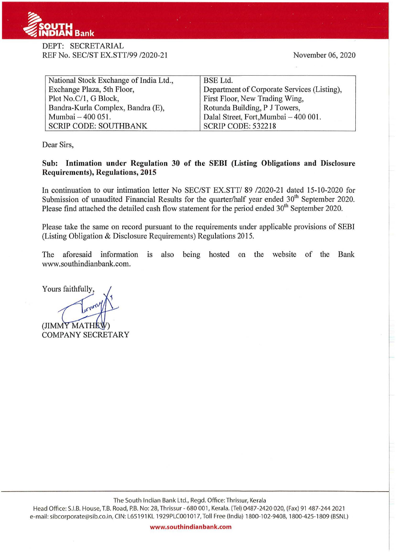

## DEPT: SECRETARIAL REF No. SEC/ST EX.STT/99 /2020-21

November 06, 2020

| National Stock Exchange of India Ltd., | <b>BSE</b> Ltd.                             |  |  |
|----------------------------------------|---------------------------------------------|--|--|
| Exchange Plaza, 5th Floor,             | Department of Corporate Services (Listing), |  |  |
| Plot No.C/1, G Block,                  | First Floor, New Trading Wing,              |  |  |
| Bandra-Kurla Complex, Bandra (E),      | Rotunda Building, P J Towers,               |  |  |
| Mumbai - 400 051.                      | Dalal Street, Fort, Mumbai - 400 001.       |  |  |
| <b>SCRIP CODE: SOUTHBANK</b>           | <b>SCRIP CODE: 532218</b>                   |  |  |

Dear Sirs,

## **Sub: Intimation under Regulation 30 of the SEBI (Listing Obligations and Disclosure Requirements), Regulations, 2015**

In continuation to our intimation letter No SEC/ST EX.STT/ 89 /2020-21 dated 15-10-2020 for Submission of unaudited Financial Results for the quarter/half year ended 30<sup>th</sup> September 2020. Please find attached the detailed cash flow statement for the period ended 30<sup>th</sup> September 2020.

Please take the same on record pursuant to the requirements under applicable provisions of SEBI (Listing Obligation & Disclosure Requirements) Regulations 2015.

The aforesaid information is also being hosted on the website of the Bank www .southindianbank.com.

Yours faithfully.

(JIMMY MATHEW **COMPANY SECRETARY** 

Head Office: S.I.B. House, T.B. Road, P.B. No: 28, Thrissur - 680 001, Kerala. (Tel) 0487-2420 020, (Fax) 91 487-244 2021 e-mail: sibcorporate@sib.co.in, CIN: L65 191 KL 1929PLC001 017, Toll Free (India) 1800-102-9408, 1800-425-1809 (BSNL)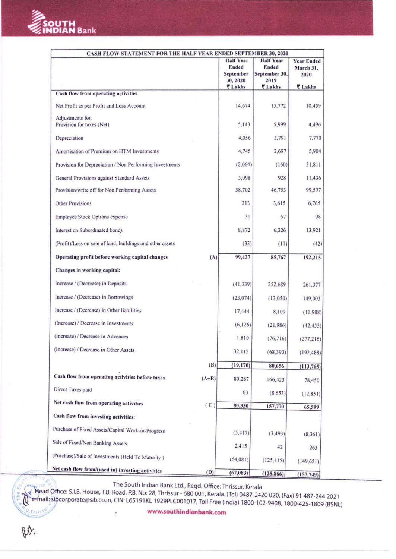

 $\mathbb{Z}$ 

 $Q_{\text{th}}$ 

Dy.

| <b>CASH FLOW STATEMENT FOR THE HALF YEAR ENDED SEPTEMBER 30, 2020</b> |         |                    |                        |                   |  |
|-----------------------------------------------------------------------|---------|--------------------|------------------------|-------------------|--|
|                                                                       |         | <b>Half Year</b>   | <b>Half Year</b>       | <b>Year Ended</b> |  |
|                                                                       |         | Ended<br>September | Ended<br>September 30, | March 31,<br>2020 |  |
|                                                                       |         | 30, 2020           | 2019                   |                   |  |
|                                                                       |         | ₹ Lakhs            | ₹ Lakhs                | ₹ Lakhs           |  |
| Cash flow from operating activities                                   |         |                    |                        |                   |  |
| Net Profit as per Profit and Loss Account                             |         | 14,674             | 15,772                 | 10,459            |  |
| Adjustments for:<br>Provision for taxes (Net)                         |         | 5.143              | 5,999                  | 4,496             |  |
| Depreciation                                                          |         | 4.056              | 3,791                  | 7,770             |  |
| Amortisation of Premium on HTM Investments                            |         | 4,745              | 2,697                  | 5,904             |  |
| Provision for Depreciation / Non Performing Investments               |         | (2,064)            | (160)                  | 31,811            |  |
| General Provisions against Standard Assets                            |         | 5,098              | 928                    | 11,436            |  |
| Provision/write off for Non Performing Assets                         |         | 58,702             | 46,753                 | 99,597            |  |
| <b>Other Provisions</b>                                               |         | 213                | 3,615                  | 6,765             |  |
| <b>Employee Stock Options expense</b>                                 |         | 31                 | 57                     | 98                |  |
| Interest on Subordinated bonds                                        |         | 8.872              | 6,326                  | 13,921            |  |
| (Profit)/Loss on sale of land, buildings and other assets             |         | (33)               | (11)                   | (42)              |  |
| Operating profit before working capital changes                       | (A)     | 99,437             | 85,767                 | 192,215           |  |
| Changes in working capital:                                           |         |                    |                        |                   |  |
| Increase / (Decrease) in Deposits                                     |         | (41, 339)          | 252,689                | 261,377           |  |
| Increase / (Decrease) in Borrowings                                   |         | (23, 074)          | (13,050)               | 149,003           |  |
| Increase / (Decrease) in Other liabilities                            |         | 17,444             | 8,109                  | (11,988)          |  |
| (Increase) / Decrease in Investments                                  |         | (6, 126)           | (21, 986)              | (42, 453)         |  |
| (Increase) / Decrease in Advances                                     |         | 1,810              | (76, 716)              | (277, 216)        |  |
| (Increase) / Decrease in Other Assets                                 |         | 32,115             | (68, 390)              | (192, 488)        |  |
|                                                                       | (B)     | (19, 170)          | 80,656                 | (113, 765)        |  |
| Cash flow from operating activities before taxes                      | $(A+B)$ | 80,267             | 166,423                | 78,450            |  |
| Direct Taxes paid                                                     |         | 63                 | (8, 653)               | (12, 851)         |  |
| Net cash flow from operating activities                               | (C)     | 80,330             | 157,770                | 65,599            |  |
| Cash flow from investing activities:                                  |         |                    |                        |                   |  |
| Purchase of Fixed Assets/Capital Work-in-Progress                     |         | (5, 417)           | (3, 493)               | (8, 361)          |  |
| Sale of Fixed/Non Banking Assets                                      |         | 2,415              | 42                     | 263               |  |
| (Purchase)/Sale of Investments (Held To Maturity)                     |         | (64,081)           | (125, 415)             | (149, 651)        |  |
| Net cash flow from/(used in) investing activities                     | (D)     | (67, 083)          | (128, 866)             | (157, 749)        |  |

The South Indian Bank Ltd., Regd. Office: Thrissur, Kerala

Nead Office: S.I.B. House, T.B. Road, P.B. No: 28, Thrissur - 680 001, Kerala. (Tel) 0487-2420 020, (Fax) 91 487-244 2021 e-mail: sibcorporate@sib.co.in, CIN: L65191KL 1929PLC001017, Toll Free (India) 1800-102-9408, 1800-425-1809 (BSNL)

www.southindianbank.com

 $\overline{\phantom{a}}$